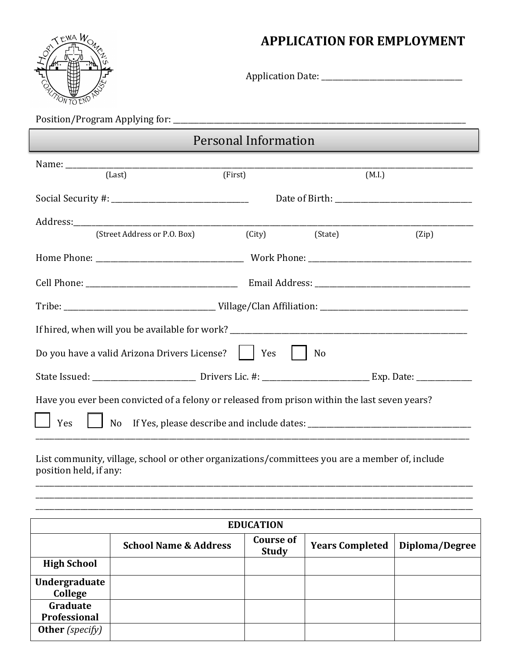



Application Date: \_\_\_\_\_\_\_\_\_\_\_\_\_\_\_\_\_\_\_\_\_\_\_\_\_\_\_\_\_\_\_\_\_\_\_\_\_\_

Position/Program Applying for: \_\_\_\_\_\_\_\_\_\_\_\_\_\_\_\_\_\_\_\_\_\_\_\_\_\_\_\_\_\_\_\_\_\_\_\_\_\_\_\_\_\_\_\_\_\_\_\_\_\_\_\_\_\_\_\_\_\_\_\_\_\_\_\_\_\_\_\_\_\_\_\_\_\_\_\_\_\_\_

## Personal Information

| (Last)                                                                                                                                                                                   | (First)        |  | (M.I.) |  |
|------------------------------------------------------------------------------------------------------------------------------------------------------------------------------------------|----------------|--|--------|--|
|                                                                                                                                                                                          |                |  |        |  |
|                                                                                                                                                                                          |                |  |        |  |
| (Street Address or P.O. Box)                                                                                                                                                             | (City) (State) |  | (Zip)  |  |
|                                                                                                                                                                                          |                |  |        |  |
|                                                                                                                                                                                          |                |  |        |  |
|                                                                                                                                                                                          |                |  |        |  |
|                                                                                                                                                                                          |                |  |        |  |
| Do you have a valid Arizona Drivers License?  <br>Yes<br>No                                                                                                                              |                |  |        |  |
|                                                                                                                                                                                          |                |  |        |  |
| Have you ever been convicted of a felony or released from prison within the last seven years?<br>No If Yes, please describe and include dates: __________________________________<br>Yes |                |  |        |  |

List community, village, school or other organizations/committees you are a member of, include position held, if any: \_\_\_\_\_\_\_\_\_\_\_\_\_\_\_\_\_\_\_\_\_\_\_\_\_\_\_\_\_\_\_\_\_\_\_\_\_\_\_\_\_\_\_\_\_\_\_\_\_\_\_\_\_\_\_\_\_\_\_\_\_\_\_\_\_\_\_\_\_\_\_\_\_\_\_\_\_\_\_\_\_\_\_\_\_\_\_\_\_\_\_\_\_\_\_\_\_\_\_\_\_\_\_\_\_\_\_\_\_\_\_\_\_\_\_\_\_\_

| <b>EDUCATION</b>         |                                  |                                  |                        |                |
|--------------------------|----------------------------------|----------------------------------|------------------------|----------------|
|                          | <b>School Name &amp; Address</b> | <b>Course of</b><br><b>Study</b> | <b>Years Completed</b> | Diploma/Degree |
| <b>High School</b>       |                                  |                                  |                        |                |
| Undergraduate<br>College |                                  |                                  |                        |                |
| Graduate<br>Professional |                                  |                                  |                        |                |
| <b>Other</b> (specify)   |                                  |                                  |                        |                |

\_\_\_\_\_\_\_\_\_\_\_\_\_\_\_\_\_\_\_\_\_\_\_\_\_\_\_\_\_\_\_\_\_\_\_\_\_\_\_\_\_\_\_\_\_\_\_\_\_\_\_\_\_\_\_\_\_\_\_\_\_\_\_\_\_\_\_\_\_\_\_\_\_\_\_\_\_\_\_\_\_\_\_\_\_\_\_\_\_\_\_\_\_\_\_\_\_\_\_\_\_\_\_\_\_\_\_\_\_\_\_\_\_\_\_\_\_\_ \_\_\_\_\_\_\_\_\_\_\_\_\_\_\_\_\_\_\_\_\_\_\_\_\_\_\_\_\_\_\_\_\_\_\_\_\_\_\_\_\_\_\_\_\_\_\_\_\_\_\_\_\_\_\_\_\_\_\_\_\_\_\_\_\_\_\_\_\_\_\_\_\_\_\_\_\_\_\_\_\_\_\_\_\_\_\_\_\_\_\_\_\_\_\_\_\_\_\_\_\_\_\_\_\_\_\_\_\_\_\_\_\_\_\_\_\_\_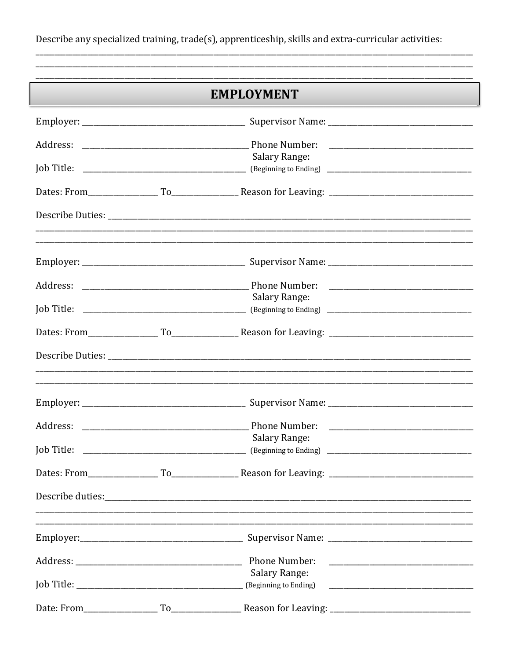Describe any specialized training, trade(s), apprenticeship, skills and extra-curricular activities:

| <b>EMPLOYMENT</b> |  |                                                                                                                                                                                                                                                                                                                                                                                                                                                                                  |  |
|-------------------|--|----------------------------------------------------------------------------------------------------------------------------------------------------------------------------------------------------------------------------------------------------------------------------------------------------------------------------------------------------------------------------------------------------------------------------------------------------------------------------------|--|
|                   |  |                                                                                                                                                                                                                                                                                                                                                                                                                                                                                  |  |
|                   |  |                                                                                                                                                                                                                                                                                                                                                                                                                                                                                  |  |
|                   |  | Salary Range:                                                                                                                                                                                                                                                                                                                                                                                                                                                                    |  |
|                   |  |                                                                                                                                                                                                                                                                                                                                                                                                                                                                                  |  |
|                   |  |                                                                                                                                                                                                                                                                                                                                                                                                                                                                                  |  |
|                   |  |                                                                                                                                                                                                                                                                                                                                                                                                                                                                                  |  |
|                   |  |                                                                                                                                                                                                                                                                                                                                                                                                                                                                                  |  |
|                   |  | Salary Range:                                                                                                                                                                                                                                                                                                                                                                                                                                                                    |  |
|                   |  |                                                                                                                                                                                                                                                                                                                                                                                                                                                                                  |  |
|                   |  |                                                                                                                                                                                                                                                                                                                                                                                                                                                                                  |  |
|                   |  | ,我们也不会有什么?""我们的人,我们也不会有什么?""我们的人,我们也不会有什么?""我们的人,我们也不会有什么?""我们的人,我们也不会有什么?""我们的人                                                                                                                                                                                                                                                                                                                                                                                                 |  |
|                   |  |                                                                                                                                                                                                                                                                                                                                                                                                                                                                                  |  |
|                   |  |                                                                                                                                                                                                                                                                                                                                                                                                                                                                                  |  |
| Job Title:        |  | Salary Range:<br>$\begin{array}{c c c c c} \hline \multicolumn{3}{c }{\textbf{1}} & \multicolumn{3}{c }{\textbf{1}} \\ \hline \multicolumn{3}{c }{\textbf{2}} & \multicolumn{3}{c }{\textbf{3}} \\ \hline \multicolumn{3}{c }{\textbf{4}} & \multicolumn{3}{c }{\textbf{5}} \\ \hline \multicolumn{3}{c }{\textbf{5}} & \multicolumn{3}{c }{\textbf{1}} \\ \hline \multicolumn{3}{c }{\textbf{1}} & \multicolumn{3}{c }{\textbf{2}} \\ \hline \multicolumn{3}{c }{\textbf{1}} &$ |  |
|                   |  |                                                                                                                                                                                                                                                                                                                                                                                                                                                                                  |  |
|                   |  |                                                                                                                                                                                                                                                                                                                                                                                                                                                                                  |  |
|                   |  |                                                                                                                                                                                                                                                                                                                                                                                                                                                                                  |  |
|                   |  | Phone Number:                                                                                                                                                                                                                                                                                                                                                                                                                                                                    |  |
|                   |  | <b>Salary Range:</b>                                                                                                                                                                                                                                                                                                                                                                                                                                                             |  |
|                   |  |                                                                                                                                                                                                                                                                                                                                                                                                                                                                                  |  |